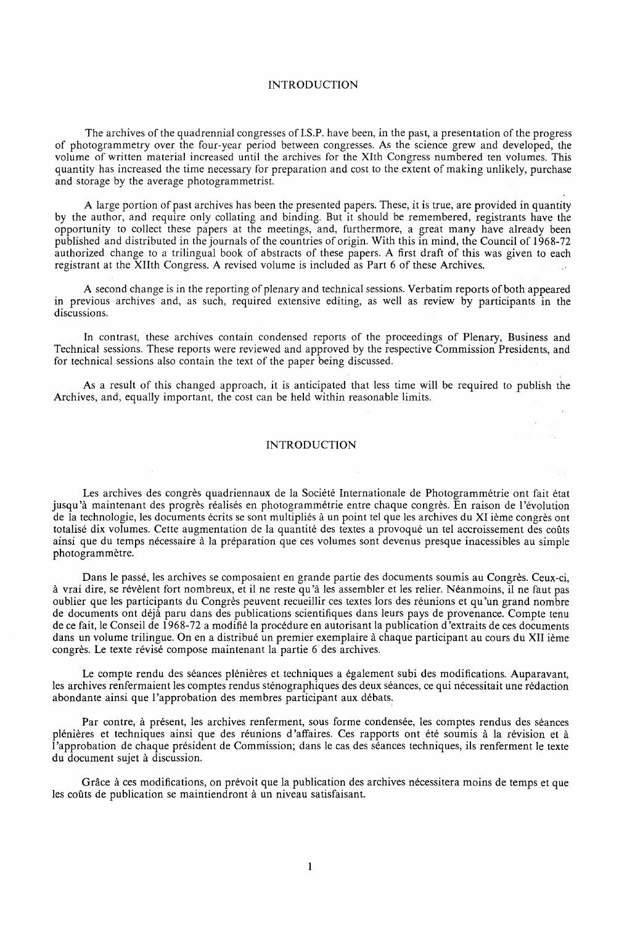## INTRODUCTION

The archives of the quadrennial congresses of I.S.P. have been, in the past, a presentation of the progress of photogrammetry over the four-year period between congresses. As the science grew and developed, the volume of written material increased until the archives for the XIth Congress numbered ten volumes. This quantity has increased the time necessary for preparation and cost to the extent of making unlikely, purchase and storage by the average photogrammetrist.

A large portion of past archives has been the presented papers. These, it is true, are provided in quantity by the author, and require only collating and binding. But it should be remembered, registrants have the opportunity to collect these papers at the meetings, and, furthermore, a great many have already been published and distributed in the journals of the countries of origin. With this in mind, the Council of 1968-72 authorized change to a trilingual book of abstracts of these papers. A first draft of this was given to each registrant at the XIIth Congress. A revised volume is included as Part 6 of these Archives.

A second change is in the reporting of plenary and technical sessions. Verbatim reports of both appeared in previous archives and, as such, required extensive editing, as well as review by participants in the discussions.

In contrast, these archives contain condensed reports of the proceedings of Plenary, Business and Technical sessions. These reports were reviewed and approved by the respective Commission Presidents, and for technical sessions also contain the text of the paper being discussed.

As a result of this changed approach, it is anticipated that less time will be required to publish the Archives, and, equally important, the cost can be held within reasonable limits.

## INTRODUCTION

Les archives des congrès quadriennaux de la Société Internationale de Photogrammétrie ont fait état jusqu 'a main tenant des progres realises en photogrammetrie entre chaque congres. En raison de 1 'evolution de la technologie, les documents écrits se sont multipliés à un point tel que les archives du XI ième congrès ont totalisé dix volumes. Cette augmentation de la quantité des textes a provoqué un tel accroissement des coûts ainsi que du temps nécessaire à la préparation que ces volumes sont devenus presque inacessibles au simple photogrammetre.

Dans le passé, les archives se composaient en grande partie des documents soumis au Congrès. Ceux-ci, a vrai dire, se revelent fort nombreux, et il ne reste qu 'a les assembler et les relier. Neanmoins, il ne faut pas oublier que les participants du Congres peuvent recueillir ces textes lors des reunions et qu 'un grand nombre de documents ont deja paru dans des publications scientifiques dans leurs pays de provenance. Compte tenu de ce fait, le Conseil de 1968-72 a modifie la procedure en autorisant la publication d 'extraits de ces documents dans un volume trilingue. On en a distribué un premier exemplaire à chaque participant au cours du XII ième congrès. Le texte révisé compose maintenant la partie 6 des archives.

Le compte rendu des séances plénières et techniques a également subi des modifications. Auparavant, les archives renfermaient les comptes rendus sténographiques des deux séances, ce qui nécessitait une rédaction abondante ainsi que l'approbation des membres participant aux débats.

Par contre, à présent, les archives renferment, sous forme condensée, les comptes rendus des séances plénières et techniques ainsi que des réunions d'affaires. Ces rapports ont été soumis à la révision et à !'approbation de chaque president de Commission; dans le cas des seances techniques, ils renferment le texte du document sujet a discussion.

Grâce à ces modifications, on prévoit que la publication des archives nécessitera moins de temps et que les coûts de publication se maintiendront à un niveau satisfaisant.